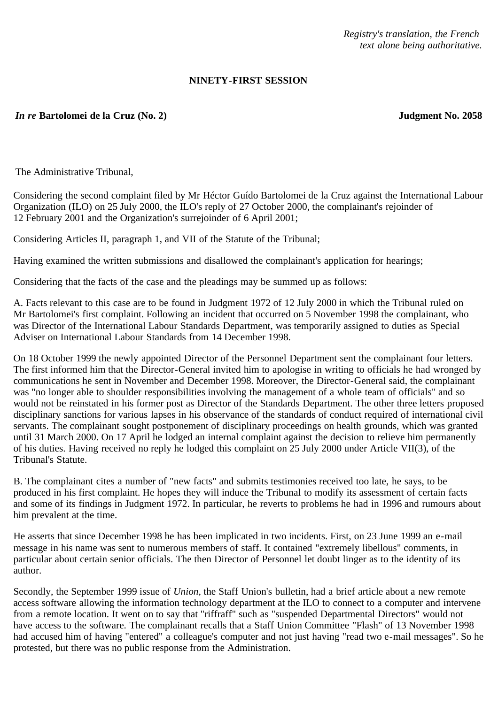*Registry's translation, the French text alone being authoritative.*

## **NINETY-FIRST SESSION**

## *In re* **Bartolomei de la Cruz (No. 2) Judgment No. 2058**

The Administrative Tribunal,

Considering the second complaint filed by Mr Héctor Guído Bartolomei de la Cruz against the International Labour Organization (ILO) on 25 July 2000, the ILO's reply of 27 October 2000, the complainant's rejoinder of 12 February 2001 and the Organization's surrejoinder of 6 April 2001;

Considering Articles II, paragraph 1, and VII of the Statute of the Tribunal;

Having examined the written submissions and disallowed the complainant's application for hearings;

Considering that the facts of the case and the pleadings may be summed up as follows:

A. Facts relevant to this case are to be found in Judgment 1972 of 12 July 2000 in which the Tribunal ruled on Mr Bartolomei's first complaint. Following an incident that occurred on 5 November 1998 the complainant, who was Director of the International Labour Standards Department, was temporarily assigned to duties as Special Adviser on International Labour Standards from 14 December 1998.

On 18 October 1999 the newly appointed Director of the Personnel Department sent the complainant four letters. The first informed him that the Director-General invited him to apologise in writing to officials he had wronged by communications he sent in November and December 1998. Moreover, the Director-General said, the complainant was "no longer able to shoulder responsibilities involving the management of a whole team of officials" and so would not be reinstated in his former post as Director of the Standards Department. The other three letters proposed disciplinary sanctions for various lapses in his observance of the standards of conduct required of international civil servants. The complainant sought postponement of disciplinary proceedings on health grounds, which was granted until 31 March 2000. On 17 April he lodged an internal complaint against the decision to relieve him permanently of his duties. Having received no reply he lodged this complaint on 25 July 2000 under Article VII(3), of the Tribunal's Statute.

B. The complainant cites a number of "new facts" and submits testimonies received too late, he says, to be produced in his first complaint. He hopes they will induce the Tribunal to modify its assessment of certain facts and some of its findings in Judgment 1972. In particular, he reverts to problems he had in 1996 and rumours about him prevalent at the time.

He asserts that since December 1998 he has been implicated in two incidents. First, on 23 June 1999 an e-mail message in his name was sent to numerous members of staff. It contained "extremely libellous" comments, in particular about certain senior officials. The then Director of Personnel let doubt linger as to the identity of its author.

Secondly, the September 1999 issue of *Union*, the Staff Union's bulletin, had a brief article about a new remote access software allowing the information technology department at the ILO to connect to a computer and intervene from a remote location. It went on to say that "riffraff" such as "suspended Departmental Directors" would not have access to the software. The complainant recalls that a Staff Union Committee "Flash" of 13 November 1998 had accused him of having "entered" a colleague's computer and not just having "read two e-mail messages". So he protested, but there was no public response from the Administration.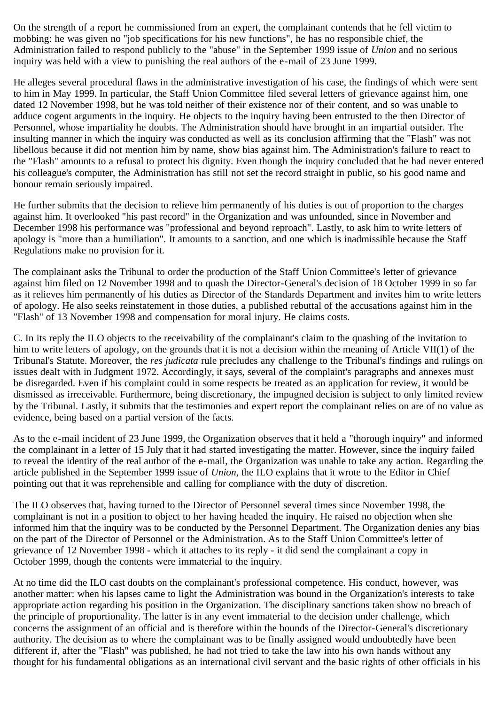On the strength of a report he commissioned from an expert, the complainant contends that he fell victim to mobbing: he was given no "job specifications for his new functions", he has no responsible chief, the Administration failed to respond publicly to the "abuse" in the September 1999 issue of *Union* and no serious inquiry was held with a view to punishing the real authors of the e-mail of 23 June 1999.

He alleges several procedural flaws in the administrative investigation of his case, the findings of which were sent to him in May 1999. In particular, the Staff Union Committee filed several letters of grievance against him, one dated 12 November 1998, but he was told neither of their existence nor of their content, and so was unable to adduce cogent arguments in the inquiry. He objects to the inquiry having been entrusted to the then Director of Personnel, whose impartiality he doubts. The Administration should have brought in an impartial outsider. The insulting manner in which the inquiry was conducted as well as its conclusion affirming that the "Flash" was not libellous because it did not mention him by name, show bias against him. The Administration's failure to react to the "Flash" amounts to a refusal to protect his dignity. Even though the inquiry concluded that he had never entered his colleague's computer, the Administration has still not set the record straight in public, so his good name and honour remain seriously impaired.

He further submits that the decision to relieve him permanently of his duties is out of proportion to the charges against him. It overlooked "his past record" in the Organization and was unfounded, since in November and December 1998 his performance was "professional and beyond reproach". Lastly, to ask him to write letters of apology is "more than a humiliation". It amounts to a sanction, and one which is inadmissible because the Staff Regulations make no provision for it.

The complainant asks the Tribunal to order the production of the Staff Union Committee's letter of grievance against him filed on 12 November 1998 and to quash the Director-General's decision of 18 October 1999 in so far as it relieves him permanently of his duties as Director of the Standards Department and invites him to write letters of apology. He also seeks reinstatement in those duties, a published rebuttal of the accusations against him in the "Flash" of 13 November 1998 and compensation for moral injury. He claims costs.

C. In its reply the ILO objects to the receivability of the complainant's claim to the quashing of the invitation to him to write letters of apology, on the grounds that it is not a decision within the meaning of Article VII(1) of the Tribunal's Statute. Moreover, the *res judicata* rule precludes any challenge to the Tribunal's findings and rulings on issues dealt with in Judgment 1972. Accordingly, it says, several of the complaint's paragraphs and annexes must be disregarded. Even if his complaint could in some respects be treated as an application for review, it would be dismissed as irreceivable. Furthermore, being discretionary, the impugned decision is subject to only limited review by the Tribunal. Lastly, it submits that the testimonies and expert report the complainant relies on are of no value as evidence, being based on a partial version of the facts.

As to the e-mail incident of 23 June 1999, the Organization observes that it held a "thorough inquiry" and informed the complainant in a letter of 15 July that it had started investigating the matter. However, since the inquiry failed to reveal the identity of the real author of the e-mail, the Organization was unable to take any action. Regarding the article published in the September 1999 issue of *Union*, the ILO explains that it wrote to the Editor in Chief pointing out that it was reprehensible and calling for compliance with the duty of discretion.

The ILO observes that, having turned to the Director of Personnel several times since November 1998, the complainant is not in a position to object to her having headed the inquiry. He raised no objection when she informed him that the inquiry was to be conducted by the Personnel Department. The Organization denies any bias on the part of the Director of Personnel or the Administration. As to the Staff Union Committee's letter of grievance of 12 November 1998 - which it attaches to its reply - it did send the complainant a copy in October 1999, though the contents were immaterial to the inquiry.

At no time did the ILO cast doubts on the complainant's professional competence. His conduct, however, was another matter: when his lapses came to light the Administration was bound in the Organization's interests to take appropriate action regarding his position in the Organization. The disciplinary sanctions taken show no breach of the principle of proportionality. The latter is in any event immaterial to the decision under challenge, which concerns the assignment of an official and is therefore within the bounds of the Director-General's discretionary authority. The decision as to where the complainant was to be finally assigned would undoubtedly have been different if, after the "Flash" was published, he had not tried to take the law into his own hands without any thought for his fundamental obligations as an international civil servant and the basic rights of other officials in his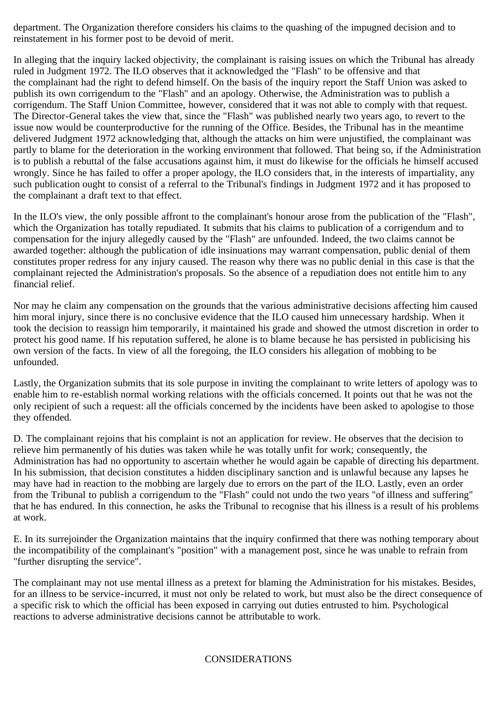department. The Organization therefore considers his claims to the quashing of the impugned decision and to reinstatement in his former post to be devoid of merit.

In alleging that the inquiry lacked objectivity, the complainant is raising issues on which the Tribunal has already ruled in Judgment 1972. The ILO observes that it acknowledged the "Flash" to be offensive and that the complainant had the right to defend himself. On the basis of the inquiry report the Staff Union was asked to publish its own corrigendum to the "Flash" and an apology. Otherwise, the Administration was to publish a corrigendum. The Staff Union Committee, however, considered that it was not able to comply with that request. The Director-General takes the view that, since the "Flash" was published nearly two years ago, to revert to the issue now would be counterproductive for the running of the Office. Besides, the Tribunal has in the meantime delivered Judgment 1972 acknowledging that, although the attacks on him were unjustified, the complainant was partly to blame for the deterioration in the working environment that followed. That being so, if the Administration is to publish a rebuttal of the false accusations against him, it must do likewise for the officials he himself accused wrongly. Since he has failed to offer a proper apology, the ILO considers that, in the interests of impartiality, any such publication ought to consist of a referral to the Tribunal's findings in Judgment 1972 and it has proposed to the complainant a draft text to that effect.

In the ILO's view, the only possible affront to the complainant's honour arose from the publication of the "Flash", which the Organization has totally repudiated. It submits that his claims to publication of a corrigendum and to compensation for the injury allegedly caused by the "Flash" are unfounded. Indeed, the two claims cannot be awarded together: although the publication of idle insinuations may warrant compensation, public denial of them constitutes proper redress for any injury caused. The reason why there was no public denial in this case is that the complainant rejected the Administration's proposals. So the absence of a repudiation does not entitle him to any financial relief.

Nor may he claim any compensation on the grounds that the various administrative decisions affecting him caused him moral injury, since there is no conclusive evidence that the ILO caused him unnecessary hardship. When it took the decision to reassign him temporarily, it maintained his grade and showed the utmost discretion in order to protect his good name. If his reputation suffered, he alone is to blame because he has persisted in publicising his own version of the facts. In view of all the foregoing, the ILO considers his allegation of mobbing to be unfounded.

Lastly, the Organization submits that its sole purpose in inviting the complainant to write letters of apology was to enable him to re-establish normal working relations with the officials concerned. It points out that he was not the only recipient of such a request: all the officials concerned by the incidents have been asked to apologise to those they offended.

D. The complainant rejoins that his complaint is not an application for review. He observes that the decision to relieve him permanently of his duties was taken while he was totally unfit for work; consequently, the Administration has had no opportunity to ascertain whether he would again be capable of directing his department. In his submission, that decision constitutes a hidden disciplinary sanction and is unlawful because any lapses he may have had in reaction to the mobbing are largely due to errors on the part of the ILO. Lastly, even an order from the Tribunal to publish a corrigendum to the "Flash" could not undo the two years "of illness and suffering" that he has endured. In this connection, he asks the Tribunal to recognise that his illness is a result of his problems at work.

E. In its surrejoinder the Organization maintains that the inquiry confirmed that there was nothing temporary about the incompatibility of the complainant's "position" with a management post, since he was unable to refrain from "further disrupting the service".

The complainant may not use mental illness as a pretext for blaming the Administration for his mistakes. Besides, for an illness to be service-incurred, it must not only be related to work, but must also be the direct consequence of a specific risk to which the official has been exposed in carrying out duties entrusted to him. Psychological reactions to adverse administrative decisions cannot be attributable to work.

## CONSIDERATIONS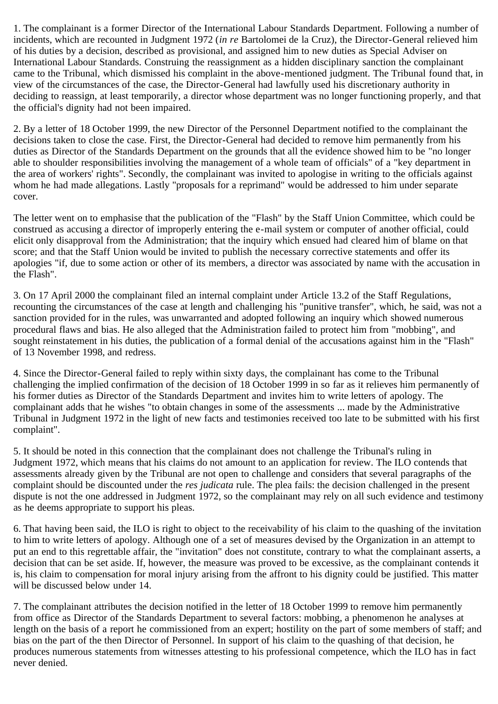1. The complainant is a former Director of the International Labour Standards Department. Following a number of incidents, which are recounted in Judgment 1972 (*in re* Bartolomei de la Cruz), the Director-General relieved him of his duties by a decision, described as provisional, and assigned him to new duties as Special Adviser on International Labour Standards. Construing the reassignment as a hidden disciplinary sanction the complainant came to the Tribunal, which dismissed his complaint in the above-mentioned judgment. The Tribunal found that, in view of the circumstances of the case, the Director-General had lawfully used his discretionary authority in deciding to reassign, at least temporarily, a director whose department was no longer functioning properly, and that the official's dignity had not been impaired.

2. By a letter of 18 October 1999, the new Director of the Personnel Department notified to the complainant the decisions taken to close the case. First, the Director-General had decided to remove him permanently from his duties as Director of the Standards Department on the grounds that all the evidence showed him to be "no longer able to shoulder responsibilities involving the management of a whole team of officials" of a "key department in the area of workers' rights". Secondly, the complainant was invited to apologise in writing to the officials against whom he had made allegations. Lastly "proposals for a reprimand" would be addressed to him under separate cover.

The letter went on to emphasise that the publication of the "Flash" by the Staff Union Committee, which could be construed as accusing a director of improperly entering the e-mail system or computer of another official, could elicit only disapproval from the Administration; that the inquiry which ensued had cleared him of blame on that score; and that the Staff Union would be invited to publish the necessary corrective statements and offer its apologies "if, due to some action or other of its members, a director was associated by name with the accusation in the Flash".

3. On 17 April 2000 the complainant filed an internal complaint under Article 13.2 of the Staff Regulations, recounting the circumstances of the case at length and challenging his "punitive transfer", which, he said, was not a sanction provided for in the rules, was unwarranted and adopted following an inquiry which showed numerous procedural flaws and bias. He also alleged that the Administration failed to protect him from "mobbing", and sought reinstatement in his duties, the publication of a formal denial of the accusations against him in the "Flash" of 13 November 1998, and redress.

4. Since the Director-General failed to reply within sixty days, the complainant has come to the Tribunal challenging the implied confirmation of the decision of 18 October 1999 in so far as it relieves him permanently of his former duties as Director of the Standards Department and invites him to write letters of apology. The complainant adds that he wishes "to obtain changes in some of the assessments ... made by the Administrative Tribunal in Judgment 1972 in the light of new facts and testimonies received too late to be submitted with his first complaint".

5. It should be noted in this connection that the complainant does not challenge the Tribunal's ruling in Judgment 1972, which means that his claims do not amount to an application for review. The ILO contends that assessments already given by the Tribunal are not open to challenge and considers that several paragraphs of the complaint should be discounted under the *res judicata* rule. The plea fails: the decision challenged in the present dispute is not the one addressed in Judgment 1972, so the complainant may rely on all such evidence and testimony as he deems appropriate to support his pleas.

6. That having been said, the ILO is right to object to the receivability of his claim to the quashing of the invitation to him to write letters of apology. Although one of a set of measures devised by the Organization in an attempt to put an end to this regrettable affair, the "invitation" does not constitute, contrary to what the complainant asserts, a decision that can be set aside. If, however, the measure was proved to be excessive, as the complainant contends it is, his claim to compensation for moral injury arising from the affront to his dignity could be justified. This matter will be discussed below under 14.

7. The complainant attributes the decision notified in the letter of 18 October 1999 to remove him permanently from office as Director of the Standards Department to several factors: mobbing, a phenomenon he analyses at length on the basis of a report he commissioned from an expert; hostility on the part of some members of staff; and bias on the part of the then Director of Personnel. In support of his claim to the quashing of that decision, he produces numerous statements from witnesses attesting to his professional competence, which the ILO has in fact never denied.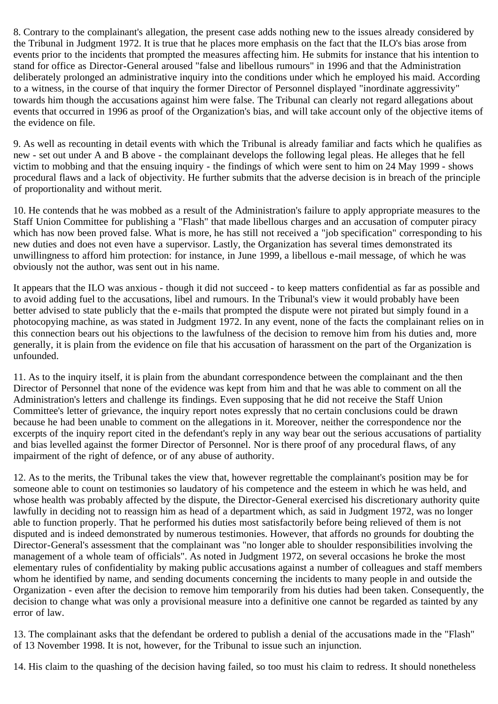8. Contrary to the complainant's allegation, the present case adds nothing new to the issues already considered by the Tribunal in Judgment 1972. It is true that he places more emphasis on the fact that the ILO's bias arose from events prior to the incidents that prompted the measures affecting him. He submits for instance that his intention to stand for office as Director-General aroused "false and libellous rumours" in 1996 and that the Administration deliberately prolonged an administrative inquiry into the conditions under which he employed his maid. According to a witness, in the course of that inquiry the former Director of Personnel displayed "inordinate aggressivity" towards him though the accusations against him were false. The Tribunal can clearly not regard allegations about events that occurred in 1996 as proof of the Organization's bias, and will take account only of the objective items of the evidence on file.

9. As well as recounting in detail events with which the Tribunal is already familiar and facts which he qualifies as new - set out under A and B above - the complainant develops the following legal pleas. He alleges that he fell victim to mobbing and that the ensuing inquiry - the findings of which were sent to him on 24 May 1999 - shows procedural flaws and a lack of objectivity. He further submits that the adverse decision is in breach of the principle of proportionality and without merit.

10. He contends that he was mobbed as a result of the Administration's failure to apply appropriate measures to the Staff Union Committee for publishing a "Flash" that made libellous charges and an accusation of computer piracy which has now been proved false. What is more, he has still not received a "job specification" corresponding to his new duties and does not even have a supervisor. Lastly, the Organization has several times demonstrated its unwillingness to afford him protection: for instance, in June 1999, a libellous e-mail message, of which he was obviously not the author, was sent out in his name.

It appears that the ILO was anxious - though it did not succeed - to keep matters confidential as far as possible and to avoid adding fuel to the accusations, libel and rumours. In the Tribunal's view it would probably have been better advised to state publicly that the e-mails that prompted the dispute were not pirated but simply found in a photocopying machine, as was stated in Judgment 1972. In any event, none of the facts the complainant relies on in this connection bears out his objections to the lawfulness of the decision to remove him from his duties and, more generally, it is plain from the evidence on file that his accusation of harassment on the part of the Organization is unfounded.

11. As to the inquiry itself, it is plain from the abundant correspondence between the complainant and the then Director of Personnel that none of the evidence was kept from him and that he was able to comment on all the Administration's letters and challenge its findings. Even supposing that he did not receive the Staff Union Committee's letter of grievance, the inquiry report notes expressly that no certain conclusions could be drawn because he had been unable to comment on the allegations in it. Moreover, neither the correspondence nor the excerpts of the inquiry report cited in the defendant's reply in any way bear out the serious accusations of partiality and bias levelled against the former Director of Personnel. Nor is there proof of any procedural flaws, of any impairment of the right of defence, or of any abuse of authority.

12. As to the merits, the Tribunal takes the view that, however regrettable the complainant's position may be for someone able to count on testimonies so laudatory of his competence and the esteem in which he was held, and whose health was probably affected by the dispute, the Director-General exercised his discretionary authority quite lawfully in deciding not to reassign him as head of a department which, as said in Judgment 1972, was no longer able to function properly. That he performed his duties most satisfactorily before being relieved of them is not disputed and is indeed demonstrated by numerous testimonies. However, that affords no grounds for doubting the Director-General's assessment that the complainant was "no longer able to shoulder responsibilities involving the management of a whole team of officials". As noted in Judgment 1972, on several occasions he broke the most elementary rules of confidentiality by making public accusations against a number of colleagues and staff members whom he identified by name, and sending documents concerning the incidents to many people in and outside the Organization - even after the decision to remove him temporarily from his duties had been taken. Consequently, the decision to change what was only a provisional measure into a definitive one cannot be regarded as tainted by any error of law.

13. The complainant asks that the defendant be ordered to publish a denial of the accusations made in the "Flash" of 13 November 1998. It is not, however, for the Tribunal to issue such an injunction.

14. His claim to the quashing of the decision having failed, so too must his claim to redress. It should nonetheless